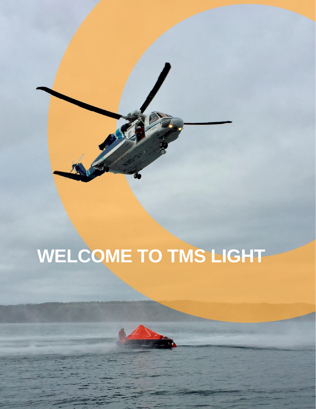

# **WELCOME TO TMS LIGHT**



1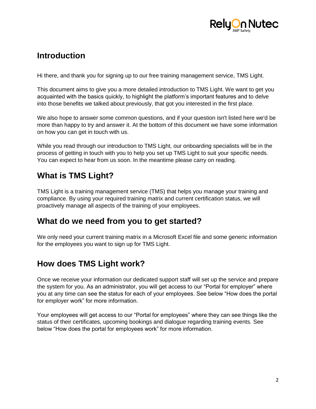

# **Introduction**

Hi there, and thank you for signing up to our free training management service, TMS Light.

This document aims to give you a more detailed introduction to TMS Light. We want to get you acquainted with the basics quickly, to highlight the platform's important features and to delve into those benefits we talked about previously, that got you interested in the first place.

We also hope to answer some common questions, and if your question isn't listed here we'd be more than happy to try and answer it. At the bottom of this document we have some information on how you can get in touch with us.

While you read through our introduction to TMS Light, our onboarding specialists will be in the process of getting in touch with you to help you set up TMS Light to suit your specific needs. You can expect to hear from us soon. In the meantime please carry on reading.

## **What is TMS Light?**

TMS Light is a training management service (TMS) that helps you manage your training and compliance. By using your required training matrix and current certification status, we will proactively manage all aspects of the training of your employees.

#### **What do we need from you to get started?**

We only need your current training matrix in a Microsoft Excel file and some generic information for the employees you want to sign up for TMS Light.

# **How does TMS Light work?**

Once we receive your information our dedicated support staff will set up the service and prepare the system for you. As an administrator, you will get access to our "Portal for employer" where you at any time can see the status for each of your employees. See below "How does the portal for employer work" for more information.

Your employees will get access to our "Portal for employees" where they can see things like the status of their certificates, upcoming bookings and dialogue regarding training events. See below "How does the portal for employees work" for more information.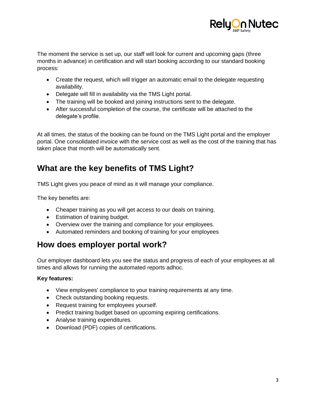

The moment the service is set up, our staff will look for current and upcoming gaps (three months in advance) in certification and will start booking according to our standard booking process:

- Create the request, which will trigger an automatic email to the delegate requesting availability.
- Delegate will fill in availability via the TMS Light portal.
- The training will be booked and joining instructions sent to the delegate.
- After successful completion of the course, the certificate will be attached to the delegate's profile.

At all times, the status of the booking can be found on the TMS Light portal and the employer portal. One consolidated invoice with the service cost as well as the cost of the training that has taken place that month will be automatically sent.

# **What are the key benefits of TMS Light?**

TMS Light gives you peace of mind as it will manage your compliance.

The key benefits are:

- Cheaper training as you will get access to our deals on training.
- Estimation of training budget.
- Overview over the training and compliance for your employees.
- Automated reminders and booking of training for your employees

## **How does employer portal work?**

Our employer dashboard lets you see the status and progress of each of your employees at all times and allows for running the automated reports adhoc.

#### **Key features:**

- View employees' compliance to your training requirements at any time.
- Check outstanding booking requests.
- Request training for employees yourself.
- Predict training budget based on upcoming expiring certifications.
- Analyse training expenditures.
- Download (PDF) copies of certifications.